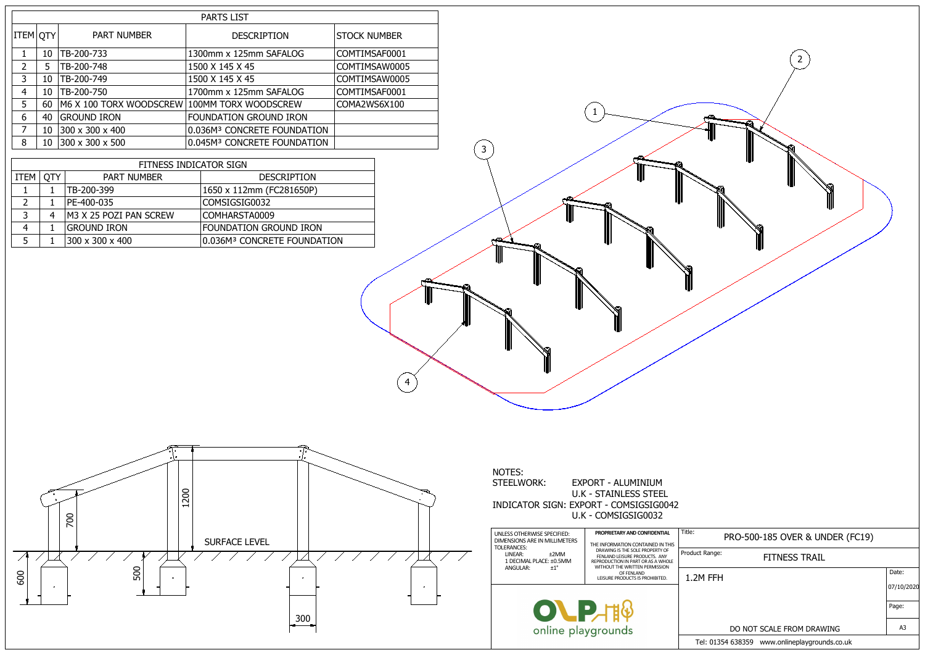| FITNESS INDICATOR SIGN |            |                        |                                         |  |
|------------------------|------------|------------------------|-----------------------------------------|--|
| <b>ITEM</b>            | <b>QTY</b> | <b>PART NUMBER</b>     | <b>DESCRIPTION</b>                      |  |
|                        |            | TB-200-399             | 1650 x 112mm (FC281650P)                |  |
|                        |            | PE-400-035             | COMSIGSIG0032                           |  |
| 2                      |            | M3 X 25 POZI PAN SCREW | COMHARSTA0009                           |  |
|                        |            | <b>GROUND IRON</b>     | <b>FOUNDATION GROUND IRON</b>           |  |
|                        |            | 300 x 300 x 400        | 0.036M <sup>3</sup> CONCRETE FOUNDATION |  |

|            | <b>PARTS LIST</b> |                                              |                                         |                     |
|------------|-------------------|----------------------------------------------|-----------------------------------------|---------------------|
| ITEM   QTY |                   | <b>PART NUMBER</b>                           | <b>DESCRIPTION</b>                      | <b>STOCK NUMBER</b> |
|            | 10                | TB-200-733                                   | 1300mm x 125mm SAFALOG                  | COMTIMSAF0001       |
| 2          | 5                 | TB-200-748                                   | 1500 X 145 X 45                         | COMTIMSAW0005       |
| 3          | 10                | TB-200-749                                   | 1500 X 145 X 45                         | COMTIMSAW0005       |
| 4          | 10                | TB-200-750                                   | 1700mm x 125mm SAFALOG                  | COMTIMSAF0001       |
| 5          | 60                | M6 X 100 TORX WOODSCREW 100MM TORX WOODSCREW |                                         | COMA2WS6X100        |
| 6          | 40                | <b>GROUND IRON</b>                           | <b>FOUNDATION GROUND IRON</b>           |                     |
| 7          | 10                | 300 x 300 x 400                              | 0.036M <sup>3</sup> CONCRETE FOUNDATION |                     |
| 8          | 10                | 300 x 300 x 500                              | 0.045M <sup>3</sup> CONCRETE FOUNDATION |                     |

EXPORT - ALUMINIUM U.K - STAINLESS STEEL INDICATOR SIGN: EXPORT - COMSIGSIG0042 U.K - COMSIGSIG0032

 $\left(1\right)$ 

| Title:<br>PRO-500-185 OVER & UNDER (FC19)<br>Product Range:<br><b>FITNESS TRAIL</b><br>1.2M FFH |                |
|-------------------------------------------------------------------------------------------------|----------------|
|                                                                                                 |                |
|                                                                                                 |                |
|                                                                                                 | Date:          |
|                                                                                                 | 07/10/2020     |
|                                                                                                 |                |
| DO NOT SCALE FROM DRAWING                                                                       | Page:          |
| Tel: 01354 638359 www.onlineplaygrounds.co.uk                                                   | A <sub>3</sub> |

| UNLESS OTHERWISE SPECIFIED:<br>DIMENSIONS ARE IN MILLIMETERS<br>TOLERANCES:<br>LINEAR:<br>±2MM<br>1 DECIMAL PLACE: ±0.5MM | PROPRIETARY AND CONFIDENTIAL<br>THE INFORMATION CONTAINED IN THIS<br>DRAWING IS THE SOLE PROPERTY OF<br>FENLAND LEISURE PRODUCTS. ANY<br>REPRODUCTION IN PART OR AS A WHOLE<br>WITHOUT THE WRITTEN PERMISSION | Title:<br>Produc |
|---------------------------------------------------------------------------------------------------------------------------|---------------------------------------------------------------------------------------------------------------------------------------------------------------------------------------------------------------|------------------|
| $+1^{\circ}$<br>ANGULAR:                                                                                                  | OF FENLAND<br>LEISURE PRODUCTS IS PROHIBITED.                                                                                                                                                                 | 1.2              |
| online playgrounds                                                                                                        |                                                                                                                                                                                                               |                  |

3

 $\approx$ Ì

4



NOTES:<br>STEELWORK: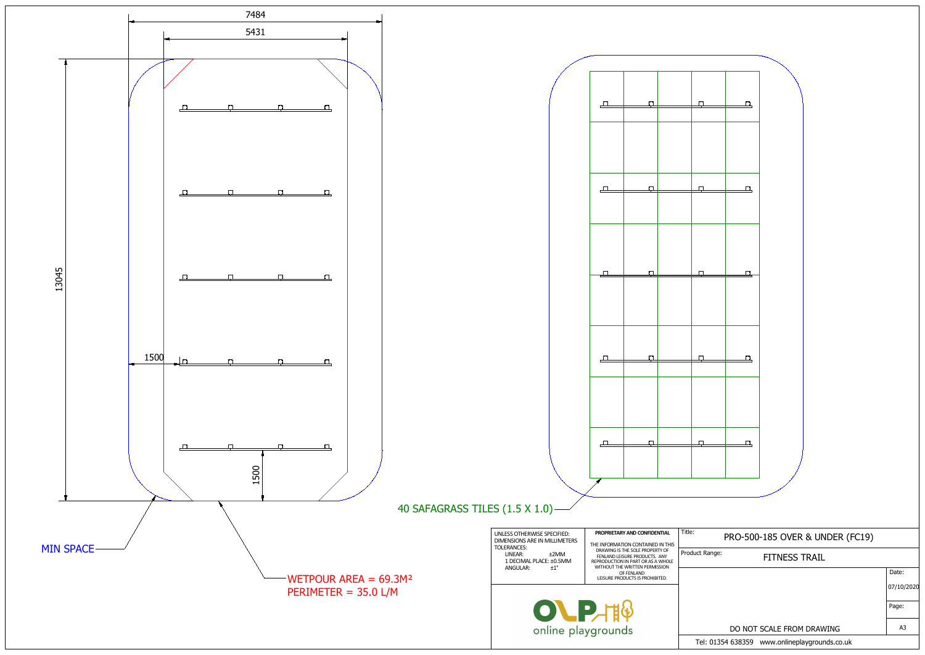|                                               | $\Box$ |                      |                                 |  |            |
|-----------------------------------------------|--------|----------------------|---------------------------------|--|------------|
|                                               |        |                      |                                 |  |            |
| 1                                             | Ц      |                      |                                 |  |            |
|                                               |        |                      |                                 |  |            |
|                                               |        |                      |                                 |  |            |
|                                               |        |                      |                                 |  |            |
|                                               | Д      |                      |                                 |  |            |
| $\Box$                                        | $\Box$ |                      |                                 |  |            |
|                                               |        |                      |                                 |  |            |
|                                               |        |                      |                                 |  |            |
| 9:                                            |        |                      | PRO-500-185 OVER & UNDER (FC19) |  |            |
| duct Range:                                   |        | <b>FITNESS TRAIL</b> |                                 |  |            |
|                                               |        |                      |                                 |  | Date:      |
|                                               |        |                      |                                 |  | 07/10/2020 |
|                                               |        |                      |                                 |  | Page:      |
| A3<br>DO NOT SCALE FROM DRAWING               |        |                      |                                 |  |            |
| Tel: 01354 638359 www.onlineplaygrounds.co.uk |        |                      |                                 |  |            |

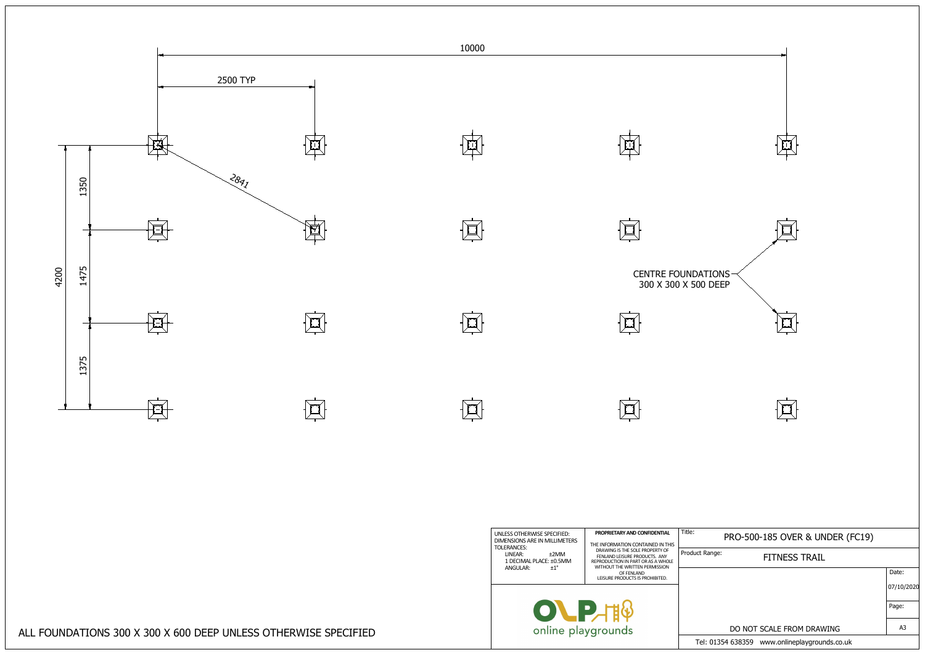| <b>DATIONS</b><br>00 DEEP                     |            |
|-----------------------------------------------|------------|
| PRO-500-185 OVER & UNDER (FC19)               |            |
| ict Range:<br><b>FITNESS TRAIL</b>            |            |
|                                               | Date:      |
|                                               | 07/10/2020 |
|                                               | Page:      |
| DO NOT SCALE FROM DRAWING                     | A3         |
| Tel: 01354 638359 www.onlineplaygrounds.co.uk |            |



ALL FOUNDATIONS 300 X 300 X 600 DEEP UNLESS OTHERWISE SPECIFIED